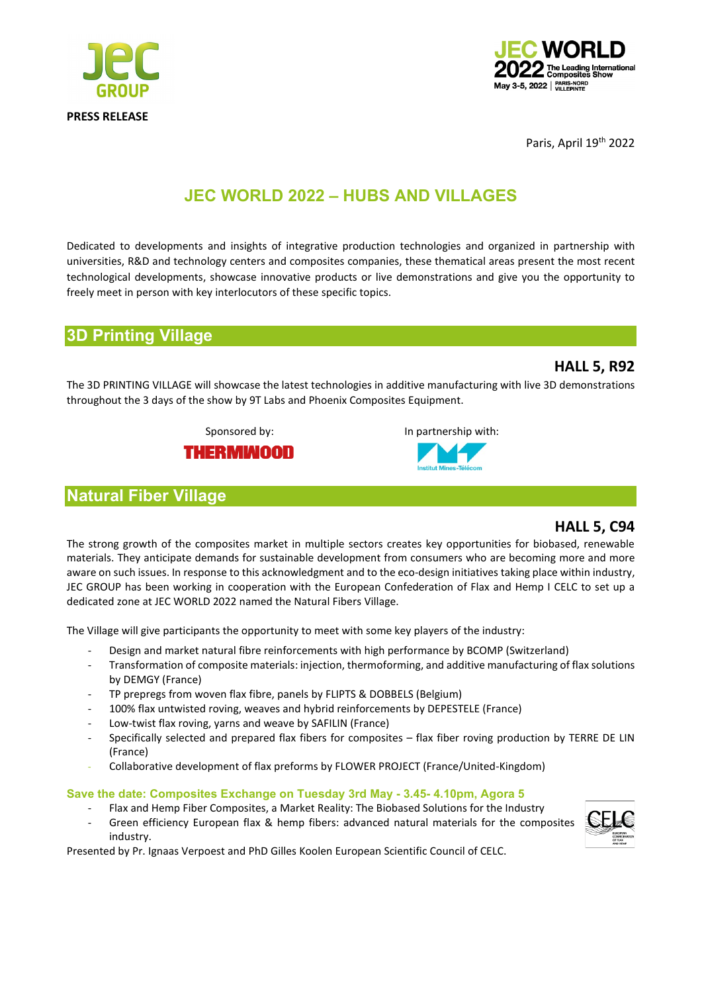



Paris, April 19<sup>th</sup> 2022

# **JEC WORLD 2022 – HUBS AND VILLAGES**

Dedicated to developments and insights of integrative production technologies and organized in partnership with universities, R&D and technology centers and composites companies, these thematical areas present the most recent technological developments, showcase innovative products or live demonstrations and give you the opportunity to freely meet in person with key interlocutors of these specific topics.

## **3D Printing Village**

### **HALL 5, R92**

The 3D PRINTING VILLAGE will showcase the latest technologies in additive manufacturing with live 3D demonstrations throughout the 3 days of the show by 9T Labs and Phoenix Composites Equipment.

Sponsored by: In partnership with:



## **Natural Fiber Village**



The strong growth of the composites market in multiple sectors creates key opportunities for biobased, renewable materials. They anticipate demands for sustainable development from consumers who are becoming more and more aware on such issues. In response to this acknowledgment and to the eco-design initiatives taking place within industry, JEC GROUP has been working in cooperation with the European Confederation of Flax and Hemp I CELC to set up a dedicated zone at JEC WORLD 2022 named the Natural Fibers Village.

The Village will give participants the opportunity to meet with some key players of the industry:

- Design and market natural fibre reinforcements with high performance by BCOMP (Switzerland)
- Transformation of composite materials: injection, thermoforming, and additive manufacturing of flax solutions by DEMGY (France)
- TP prepregs from woven flax fibre, panels by FLIPTS & DOBBELS (Belgium)
- 100% flax untwisted roving, weaves and hybrid reinforcements by DEPESTELE (France)
- Low-twist flax roving, yarns and weave by SAFILIN (France)
- Specifically selected and prepared flax fibers for composites flax fiber roving production by TERRE DE LIN (France)
- Collaborative development of flax preforms by FLOWER PROJECT (France/United-Kingdom)

### **Save the date: Composites Exchange on Tuesday 3rd May - 3.45- 4.10pm, Agora 5**

- Flax and Hemp Fiber Composites, a Market Reality: The Biobased Solutions for the Industry
- Green efficiency European flax & hemp fibers: advanced natural materials for the composites industry.

Presented by Pr. Ignaas Verpoest and PhD Gilles Koolen European Scientific Council of CELC.

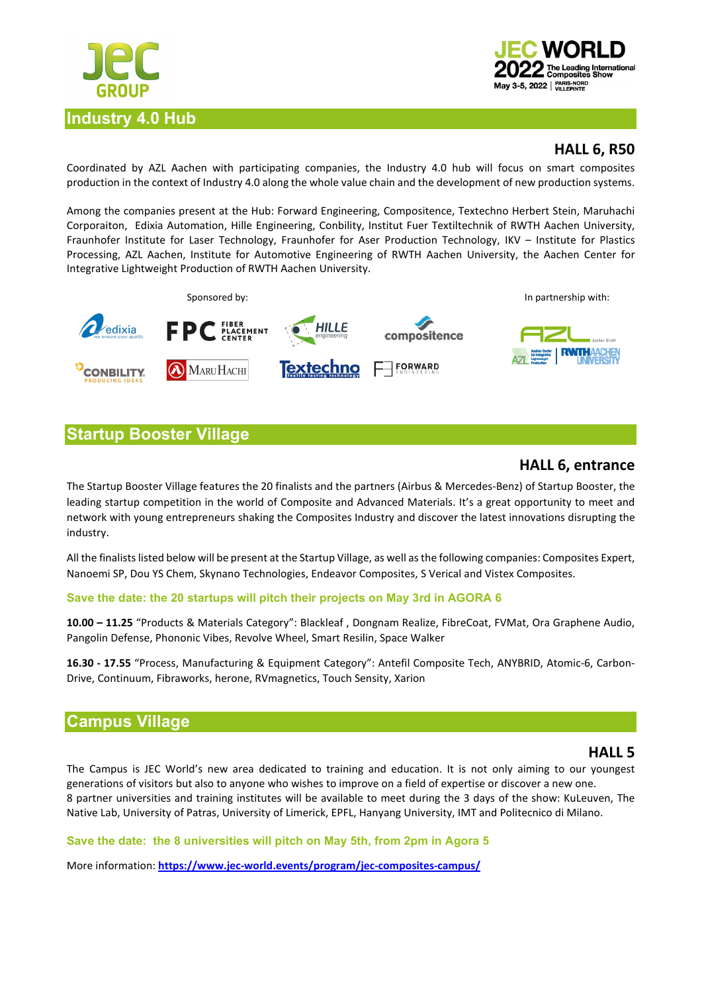



## **HALL 6, R50**

Coordinated by AZL Aachen with participating companies, the Industry 4.0 hub will focus on smart composites production in the context of Industry 4.0 along the whole value chain and the development of new production systems.

Among the companies present at the Hub: Forward Engineering, Compositence, Textechno Herbert Stein, Maruhachi Corporaiton, Edixia Automation, Hille Engineering, Conbility, Institut Fuer Textiltechnik of RWTH Aachen University, Fraunhofer Institute for Laser Technology, Fraunhofer for Aser Production Technology, IKV – Institute for Plastics Processing, AZL Aachen, Institute for Automotive Engineering of RWTH Aachen University, the Aachen Center for Integrative Lightweight Production of RWTH Aachen University.



# **Startup Booster Village**

## **HALL 6, entrance**

The Startup Booster Village features the 20 finalists and the partners (Airbus & Mercedes-Benz) of Startup Booster, the leading startup competition in the world of Composite and Advanced Materials. It's a great opportunity to meet and network with young entrepreneurs shaking the Composites Industry and discover the latest innovations disrupting the industry.

All the finalists listed below will be present at the Startup Village, as well as the following companies: Composites Expert, Nanoemi SP, Dou YS Chem, Skynano Technologies, Endeavor Composites, S Verical and Vistex Composites.

### **Save the date: the 20 startups will pitch their projects on May 3rd in AGORA 6**

**10.00 – 11.25** "Products & Materials Category": Blackleaf , Dongnam Realize, FibreCoat, FVMat, Ora Graphene Audio, Pangolin Defense, Phononic Vibes, Revolve Wheel, Smart Resilin, Space Walker

**16.30 - 17.55** "Process, Manufacturing & Equipment Category": Antefil Composite Tech, ANYBRID, Atomic-6, Carbon-Drive, Continuum, Fibraworks, herone, RVmagnetics, Touch Sensity, Xarion

# **Campus Village**

### **HALL 5**

The Campus is JEC World's new area dedicated to training and education. It is not only aiming to our youngest generations of visitors but also to anyone who wishes to improve on a field of expertise or discover a new one. 8 partner universities and training institutes will be available to meet during the 3 days of the show: KuLeuven, The Native Lab, University of Patras, University of Limerick, EPFL, Hanyang University, IMT and Politecnico di Milano.

**Save the date: the 8 universities will pitch on May 5th, from 2pm in Agora 5** 

More information: **<https://www.jec-world.events/program/jec-composites-campus/>**